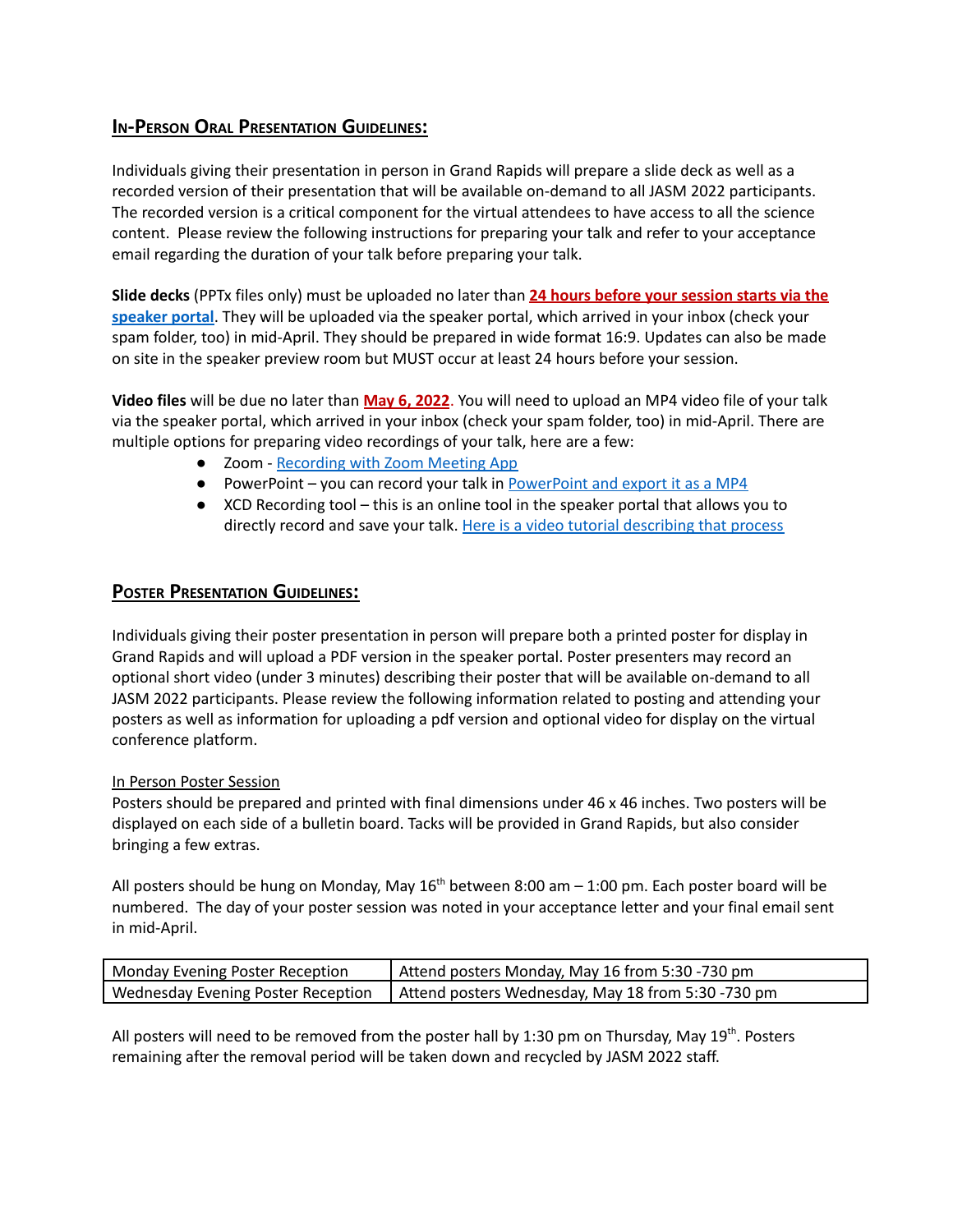## **IN-PERSON ORAL PRESENTATION GUIDELINES:**

Individuals giving their presentation in person in Grand Rapids will prepare a slide deck as well as a recorded version of their presentation that will be available on-demand to all JASM 2022 participants. The recorded version is a critical component for the virtual attendees to have access to all the science content. Please review the following instructions for preparing your talk and refer to your acceptance email regarding the duration of your talk before preparing your talk.

**Slide decks** (PPTx files only) must be uploaded no later than **24 hours before your session starts via the [speaker](https://www.xcdsystem.com/afs/abstract/index.cfm?ID=xjFJP5w) portal**. They will be uploaded via the speaker portal, which arrived in your inbox (check your spam folder, too) in mid-April. They should be prepared in wide format 16:9. Updates can also be made on site in the speaker preview room but MUST occur at least 24 hours before your session.

**Video files** will be due no later than **May 6, 2022**. You will need to upload an MP4 video file of your talk via the speaker portal, which arrived in your inbox (check your spam folder, too) in mid-April. There are multiple options for preparing video recordings of your talk, here are a few:

- Zoom [Recording](https://afsannualmeeting2021.fisheries.org/presenter-guidelines-oral-poster-virtual/) with Zoom Meeting App
- [PowerPoint](https://support.microsoft.com/en-us/office/turn-your-presentation-into-a-video-c140551f-cb37-4818-b5d4-3e30815c3e83) you can record your talk in PowerPoint and export it as a MP4
- XCD Recording tool this is an online tool in the speaker portal that allows you to directly record and save your talk. Here is a video tutorial [describing](https://support.x-cd.com/portal/en/kb/articles/record-a-presentation-in-the-submission-platform) that process

## **POSTER PRESENTATION GUIDELINES:**

Individuals giving their poster presentation in person will prepare both a printed poster for display in Grand Rapids and will upload a PDF version in the speaker portal. Poster presenters may record an optional short video (under 3 minutes) describing their poster that will be available on-demand to all JASM 2022 participants. Please review the following information related to posting and attending your posters as well as information for uploading a pdf version and optional video for display on the virtual conference platform.

## In Person Poster Session

Posters should be prepared and printed with final dimensions under 46 x 46 inches. Two posters will be displayed on each side of a bulletin board. Tacks will be provided in Grand Rapids, but also consider bringing a few extras.

All posters should be hung on Monday, May  $16^{th}$  between 8:00 am  $-$  1:00 pm. Each poster board will be numbered. The day of your poster session was noted in your acceptance letter and your final email sent in mid-April.

| Monday Evening Poster Reception | Attend posters Monday, May 16 from 5:30 -730 pm                                         |
|---------------------------------|-----------------------------------------------------------------------------------------|
|                                 | Wednesday Evening Poster Reception   Attend posters Wednesday, May 18 from 5:30 -730 pm |

All posters will need to be removed from the poster hall by 1:30 pm on Thursday, May 19<sup>th</sup>. Posters remaining after the removal period will be taken down and recycled by JASM 2022 staff.